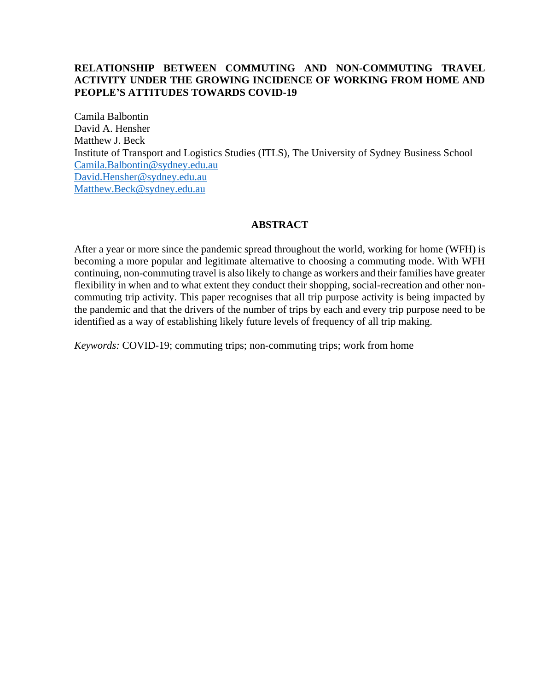### **RELATIONSHIP BETWEEN COMMUTING AND NON-COMMUTING TRAVEL ACTIVITY UNDER THE GROWING INCIDENCE OF WORKING FROM HOME AND PEOPLE'S ATTITUDES TOWARDS COVID-19**

Camila Balbontin David A. Hensher Matthew J. Beck Institute of Transport and Logistics Studies (ITLS), The University of Sydney Business School [Camila.Balbontin@sydney.edu.au](mailto:Camila.Balbontin@sydney.edu.au) [David.Hensher@sydney.edu.au](mailto:David.Hensher@sydney.edu.au) [Matthew.Beck@sydney.edu.au](mailto:Matthew.Beck@sydney.edu.au)

### **ABSTRACT**

After a year or more since the pandemic spread throughout the world, working for home (WFH) is becoming a more popular and legitimate alternative to choosing a commuting mode. With WFH continuing, non-commuting travel is also likely to change as workers and their families have greater flexibility in when and to what extent they conduct their shopping, social-recreation and other noncommuting trip activity. This paper recognises that all trip purpose activity is being impacted by the pandemic and that the drivers of the number of trips by each and every trip purpose need to be identified as a way of establishing likely future levels of frequency of all trip making.

*Keywords:* COVID-19; commuting trips; non-commuting trips; work from home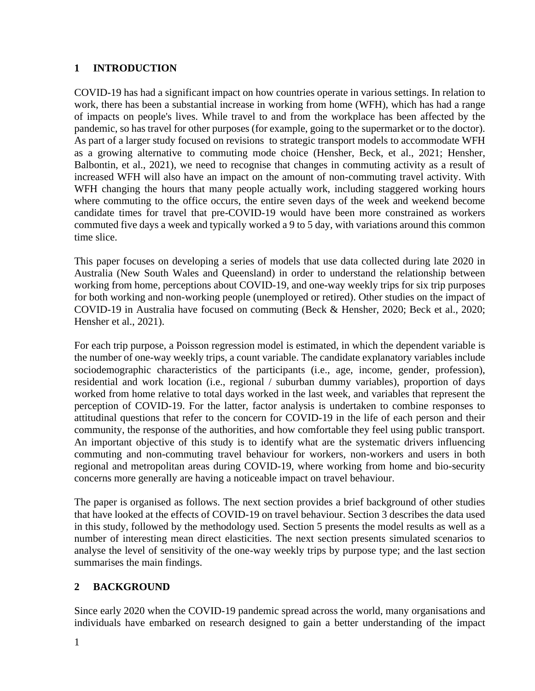### **1 INTRODUCTION**

COVID-19 has had a significant impact on how countries operate in various settings. In relation to work, there has been a substantial increase in working from home (WFH), which has had a range of impacts on people's lives. While travel to and from the workplace has been affected by the pandemic, so has travel for other purposes (for example, going to the supermarket or to the doctor). As part of a larger study focused on revisions to strategic transport models to accommodate WFH as a growing alternative to commuting mode choice (Hensher, Beck, et al., 2021; Hensher, Balbontin, et al., 2021), we need to recognise that changes in commuting activity as a result of increased WFH will also have an impact on the amount of non-commuting travel activity. With WFH changing the hours that many people actually work, including staggered working hours where commuting to the office occurs, the entire seven days of the week and weekend become candidate times for travel that pre-COVID-19 would have been more constrained as workers commuted five days a week and typically worked a 9 to 5 day, with variations around this common time slice.

This paper focuses on developing a series of models that use data collected during late 2020 in Australia (New South Wales and Queensland) in order to understand the relationship between working from home, perceptions about COVID-19, and one-way weekly trips for six trip purposes for both working and non-working people (unemployed or retired). Other studies on the impact of COVID-19 in Australia have focused on commuting (Beck & Hensher, 2020; Beck et al., 2020; Hensher et al., 2021).

For each trip purpose, a Poisson regression model is estimated, in which the dependent variable is the number of one-way weekly trips, a count variable. The candidate explanatory variables include sociodemographic characteristics of the participants (i.e., age, income, gender, profession), residential and work location (i.e., regional / suburban dummy variables), proportion of days worked from home relative to total days worked in the last week, and variables that represent the perception of COVID-19. For the latter, factor analysis is undertaken to combine responses to attitudinal questions that refer to the concern for COVID-19 in the life of each person and their community, the response of the authorities, and how comfortable they feel using public transport. An important objective of this study is to identify what are the systematic drivers influencing commuting and non-commuting travel behaviour for workers, non-workers and users in both regional and metropolitan areas during COVID-19, where working from home and bio-security concerns more generally are having a noticeable impact on travel behaviour.

The paper is organised as follows. The next section provides a brief background of other studies that have looked at the effects of COVID-19 on travel behaviour. Section 3 describes the data used in this study, followed by the methodology used. Section 5 presents the model results as well as a number of interesting mean direct elasticities. The next section presents simulated scenarios to analyse the level of sensitivity of the one-way weekly trips by purpose type; and the last section summarises the main findings.

## **2 BACKGROUND**

Since early 2020 when the COVID-19 pandemic spread across the world, many organisations and individuals have embarked on research designed to gain a better understanding of the impact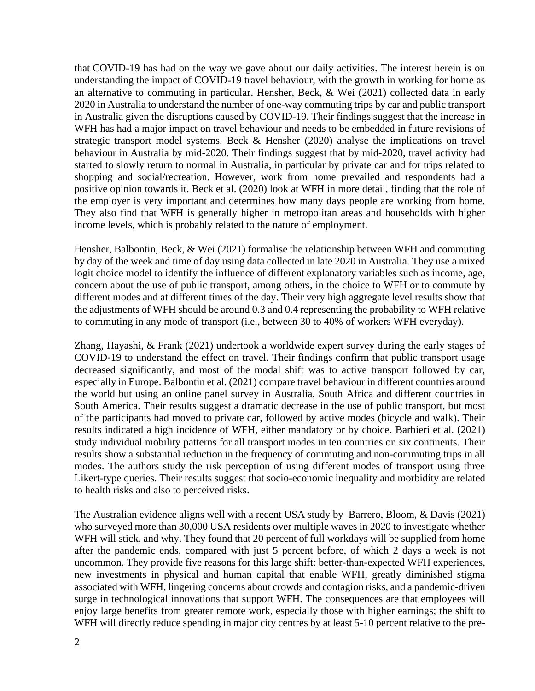that COVID-19 has had on the way we gave about our daily activities. The interest herein is on understanding the impact of COVID-19 travel behaviour, with the growth in working for home as an alternative to commuting in particular. Hensher, Beck, & Wei (2021) collected data in early 2020 in Australia to understand the number of one-way commuting trips by car and public transport in Australia given the disruptions caused by COVID-19. Their findings suggest that the increase in WFH has had a major impact on travel behaviour and needs to be embedded in future revisions of strategic transport model systems. Beck & Hensher (2020) analyse the implications on travel behaviour in Australia by mid-2020. Their findings suggest that by mid-2020, travel activity had started to slowly return to normal in Australia, in particular by private car and for trips related to shopping and social/recreation. However, work from home prevailed and respondents had a positive opinion towards it. Beck et al. (2020) look at WFH in more detail, finding that the role of the employer is very important and determines how many days people are working from home. They also find that WFH is generally higher in metropolitan areas and households with higher income levels, which is probably related to the nature of employment.

Hensher, Balbontin, Beck, & Wei (2021) formalise the relationship between WFH and commuting by day of the week and time of day using data collected in late 2020 in Australia. They use a mixed logit choice model to identify the influence of different explanatory variables such as income, age, concern about the use of public transport, among others, in the choice to WFH or to commute by different modes and at different times of the day. Their very high aggregate level results show that the adjustments of WFH should be around 0.3 and 0.4 representing the probability to WFH relative to commuting in any mode of transport (i.e., between 30 to 40% of workers WFH everyday).

Zhang, Hayashi, & Frank (2021) undertook a worldwide expert survey during the early stages of COVID-19 to understand the effect on travel. Their findings confirm that public transport usage decreased significantly, and most of the modal shift was to active transport followed by car, especially in Europe. Balbontin et al. (2021) compare travel behaviour in different countries around the world but using an online panel survey in Australia, South Africa and different countries in South America. Their results suggest a dramatic decrease in the use of public transport, but most of the participants had moved to private car, followed by active modes (bicycle and walk). Their results indicated a high incidence of WFH, either mandatory or by choice. Barbieri et al. (2021) study individual mobility patterns for all transport modes in ten countries on six continents. Their results show a substantial reduction in the frequency of commuting and non-commuting trips in all modes. The authors study the risk perception of using different modes of transport using three Likert-type queries. Their results suggest that socio-economic inequality and morbidity are related to health risks and also to perceived risks.

The Australian evidence aligns well with a recent USA study by Barrero, Bloom, & Davis (2021) who surveyed more than 30,000 USA residents over multiple waves in 2020 to investigate whether WFH will stick, and why. They found that 20 percent of full workdays will be supplied from home after the pandemic ends, compared with just 5 percent before, of which 2 days a week is not uncommon. They provide five reasons for this large shift: better-than-expected WFH experiences, new investments in physical and human capital that enable WFH, greatly diminished stigma associated with WFH, lingering concerns about crowds and contagion risks, and a pandemic-driven surge in technological innovations that support WFH. The consequences are that employees will enjoy large benefits from greater remote work, especially those with higher earnings; the shift to WFH will directly reduce spending in major city centres by at least 5-10 percent relative to the pre-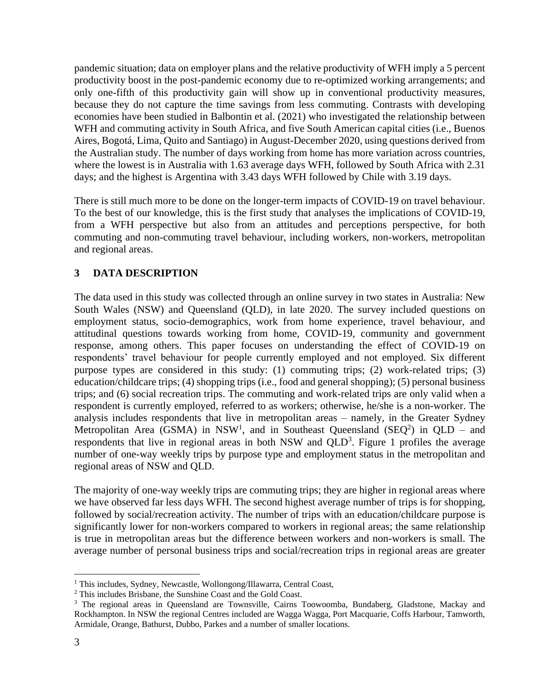pandemic situation; data on employer plans and the relative productivity of WFH imply a 5 percent productivity boost in the post-pandemic economy due to re-optimized working arrangements; and only one-fifth of this productivity gain will show up in conventional productivity measures, because they do not capture the time savings from less commuting. Contrasts with developing economies have been studied in Balbontin et al. (2021) who investigated the relationship between WFH and commuting activity in South Africa, and five South American capital cities (i.e., Buenos Aires, Bogotá, Lima, Quito and Santiago) in August-December 2020, using questions derived from the Australian study. The number of days working from home has more variation across countries, where the lowest is in Australia with 1.63 average days WFH, followed by South Africa with 2.31 days; and the highest is Argentina with 3.43 days WFH followed by Chile with 3.19 days.

There is still much more to be done on the longer-term impacts of COVID-19 on travel behaviour. To the best of our knowledge, this is the first study that analyses the implications of COVID-19, from a WFH perspective but also from an attitudes and perceptions perspective, for both commuting and non-commuting travel behaviour, including workers, non-workers, metropolitan and regional areas.

## **3 DATA DESCRIPTION**

The data used in this study was collected through an online survey in two states in Australia: New South Wales (NSW) and Queensland (QLD), in late 2020. The survey included questions on employment status, socio-demographics, work from home experience, travel behaviour, and attitudinal questions towards working from home, COVID-19, community and government response, among others. This paper focuses on understanding the effect of COVID-19 on respondents' travel behaviour for people currently employed and not employed. Six different purpose types are considered in this study: (1) commuting trips; (2) work-related trips; (3) education/childcare trips; (4) shopping trips (i.e., food and general shopping); (5) personal business trips; and (6) social recreation trips. The commuting and work-related trips are only valid when a respondent is currently employed, referred to as workers; otherwise, he/she is a non-worker. The analysis includes respondents that live in metropolitan areas – namely, in the Greater Sydney Metropolitan Area (GSMA) in NSW<sup>1</sup>, and in Southeast Queensland (SEQ<sup>2</sup>) in QLD – and respondents that live in regional areas in both NSW and  $QLD<sup>3</sup>$ . [Figure 1](#page-4-0) profiles the average number of one-way weekly trips by purpose type and employment status in the metropolitan and regional areas of NSW and QLD.

The majority of one-way weekly trips are commuting trips; they are higher in regional areas where we have observed far less days WFH. The second highest average number of trips is for shopping, followed by social/recreation activity. The number of trips with an education/childcare purpose is significantly lower for non-workers compared to workers in regional areas; the same relationship is true in metropolitan areas but the difference between workers and non-workers is small. The average number of personal business trips and social/recreation trips in regional areas are greater

<sup>&</sup>lt;sup>1</sup> This includes, Sydney, Newcastle, Wollongong/Illawarra, Central Coast,

<sup>2</sup> This includes Brisbane, the Sunshine Coast and the Gold Coast.

<sup>&</sup>lt;sup>3</sup> The regional areas in Queensland are Townsville, Cairns Toowoomba, Bundaberg, Gladstone, Mackay and Rockhampton. In NSW the regional Centres included are Wagga Wagga, Port Macquarie, Coffs Harbour, Tamworth, Armidale, Orange, Bathurst, Dubbo, Parkes and a number of smaller locations.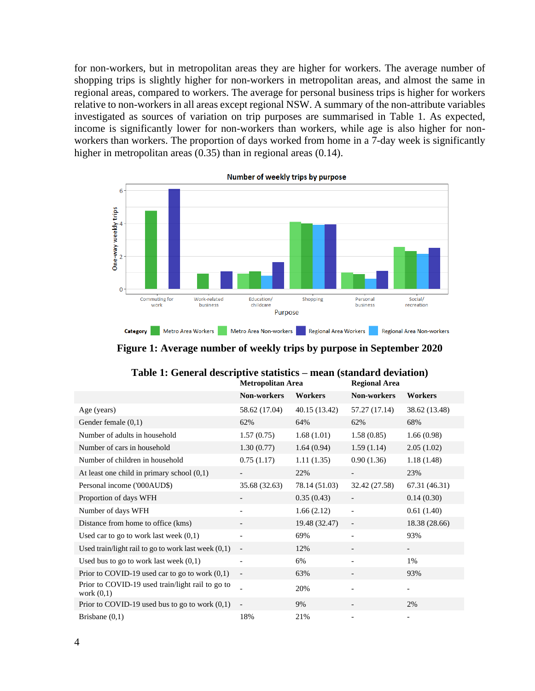for non-workers, but in metropolitan areas they are higher for workers. The average number of shopping trips is slightly higher for non-workers in metropolitan areas, and almost the same in regional areas, compared to workers. The average for personal business trips is higher for workers relative to non-workers in all areas except regional NSW. A summary of the non-attribute variables investigated as sources of variation on trip purposes are summarised in [Table 1.](#page-4-1) As expected, income is significantly lower for non-workers than workers, while age is also higher for nonworkers than workers. The proportion of days worked from home in a 7-day week is significantly higher in metropolitan areas (0.35) than in regional areas (0.14).



Category Metro Area Workers Metro Area Non-workers Regional Area Workers Regional Area Non-workers

**Figure 1: Average number of weekly trips by purpose in September 2020**

<span id="page-4-1"></span><span id="page-4-0"></span>

|                                                                  | <b>Metropolitan Area</b> |               | <b>Regional Area</b>     |               |
|------------------------------------------------------------------|--------------------------|---------------|--------------------------|---------------|
|                                                                  | Non-workers              | Workers       | Non-workers              | Workers       |
| Age (years)                                                      | 58.62 (17.04)            | 40.15 (13.42) | 57.27 (17.14)            | 38.62 (13.48) |
| Gender female (0,1)                                              | 62%                      | 64%           | 62%                      | 68%           |
| Number of adults in household                                    | 1.57(0.75)               | 1.68(1.01)    | 1.58(0.85)               | 1.66(0.98)    |
| Number of cars in household                                      | 1.30(0.77)               | 1.64(0.94)    | 1.59(1.14)               | 2.05(1.02)    |
| Number of children in household                                  | 0.75(1.17)               | 1.11(1.35)    | 0.90(1.36)               | 1.18(1.48)    |
| At least one child in primary school $(0,1)$                     |                          | 22%           | $\overline{\phantom{a}}$ | 23%           |
| Personal income ('000AUD\$)                                      | 35.68 (32.63)            | 78.14 (51.03) | 32.42 (27.58)            | 67.31 (46.31) |
| Proportion of days WFH                                           |                          | 0.35(0.43)    |                          | 0.14(0.30)    |
| Number of days WFH                                               |                          | 1.66(2.12)    | $\overline{\phantom{a}}$ | 0.61(1.40)    |
| Distance from home to office (kms)                               |                          | 19.48 (32.47) |                          | 18.38 (28.66) |
| Used car to go to work last week $(0,1)$                         |                          | 69%           |                          | 93%           |
| Used train/light rail to go to work last week $(0,1)$            | $\overline{\phantom{a}}$ | 12%           |                          | -             |
| Used bus to go to work last week $(0,1)$                         | $\overline{\phantom{a}}$ | 6%            | $\overline{\phantom{a}}$ | 1%            |
| Prior to COVID-19 used car to go to work $(0,1)$                 | $\overline{\phantom{a}}$ | 63%           | $\overline{\phantom{a}}$ | 93%           |
| Prior to COVID-19 used train/light rail to go to<br>work $(0,1)$ |                          | 20%           |                          |               |
| Prior to COVID-19 used bus to go to work $(0,1)$                 | $\overline{\phantom{a}}$ | 9%            |                          | 2%            |
| Brisbane $(0,1)$                                                 | 18%                      | 21%           |                          |               |

| Table 1: General descriptive statistics – mean (standard deviation) |               |
|---------------------------------------------------------------------|---------------|
| Matropolitan Araq                                                   | Regional Area |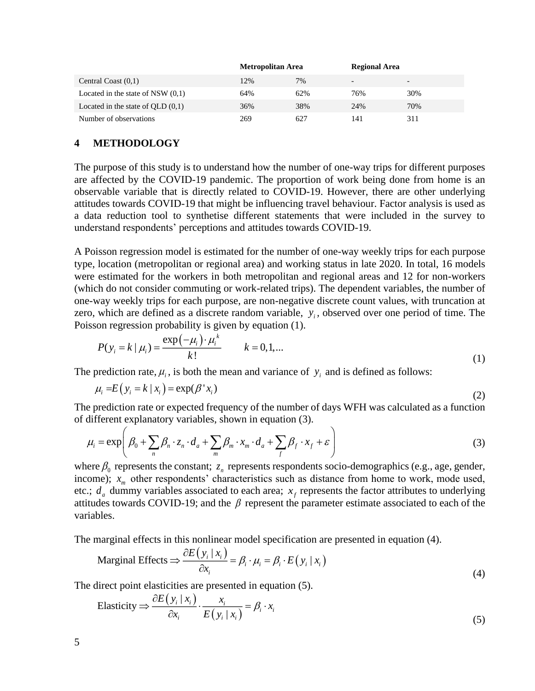|                                     | <b>Metropolitan Area</b> |     | <b>Regional Area</b>     |                          |
|-------------------------------------|--------------------------|-----|--------------------------|--------------------------|
| Central Coast $(0,1)$               | 12%                      | 7%  | $\overline{\phantom{0}}$ | $\overline{\phantom{0}}$ |
| Located in the state of NSW $(0,1)$ | 64%                      | 62% | 76%                      | 30%                      |
| Located in the state of $QLD(0,1)$  | 36%                      | 38% | 24%                      | 70%                      |
| Number of observations              | 269                      | 627 | 141                      | 311                      |

### **4 METHODOLOGY**

The purpose of this study is to understand how the number of one-way trips for different purposes are affected by the COVID-19 pandemic. The proportion of work being done from home is an observable variable that is directly related to COVID-19. However, there are other underlying attitudes towards COVID-19 that might be influencing travel behaviour. Factor analysis is used as a data reduction tool to synthetise different statements that were included in the survey to understand respondents' perceptions and attitudes towards COVID-19.

A Poisson regression model is estimated for the number of one-way weekly trips for each purpose type, location (metropolitan or regional area) and working status in late 2020. In total, 16 models were estimated for the workers in both metropolitan and regional areas and 12 for non-workers (which do not consider commuting or work-related trips). The dependent variables, the number of one-way weekly trips for each purpose, are non-negative discrete count values, with truncation at zero, which are defined as a discrete random variable,  $y_i$ , observed over one period of time. The Poisson regression probability is given by equation (1).

$$
P(y_i = k | \mu_i) = \frac{\exp(-\mu_i) \cdot \mu_i^k}{k!} \qquad k = 0, 1, ... \tag{1}
$$

The prediction rate,  $\mu_i$ , is both the mean and variance of  $y_i$  and is defined as follows:

$$
\mu_i = E(y_i = k \mid x_i) = \exp(\beta' x_i)
$$
\n(2)

The prediction rate or expected frequency of the number of days WFH was calculated as a function of different explanatory variables, shown in equation (3).

$$
\mu_i = \exp\left(\beta_0 + \sum_n \beta_n \cdot z_n \cdot d_a + \sum_m \beta_m \cdot x_m \cdot d_a + \sum_f \beta_f \cdot x_f + \varepsilon\right)
$$
\n(3)

where  $\beta_0$  represents the constant;  $z_n$  represents respondents socio-demographics (e.g., age, gender, income);  $x_m$  other respondents' characteristics such as distance from home to work, mode used, etc.;  $d_a$  dummy variables associated to each area;  $x_f$  represents the factor attributes to underlying attitudes towards COVID-19; and the  $\beta$  represent the parameter estimate associated to each of the variables.

The marginal effects in this nonlinear model specification are presented in equation (4).

Marginal Effects 
$$
\Rightarrow \frac{\partial E(y_i | x_i)}{\partial x_i} = \beta_i \cdot \mu_i = \beta_i \cdot E(y_i | x_i)
$$
 (4)

The direct point elasticities are presented in equation (5).

Elasticity 
$$
\Rightarrow \frac{\partial E(y_i | x_i)}{\partial x_i} \cdot \frac{x_i}{E(y_i | x_i)} = \beta_i \cdot x_i
$$
 (5)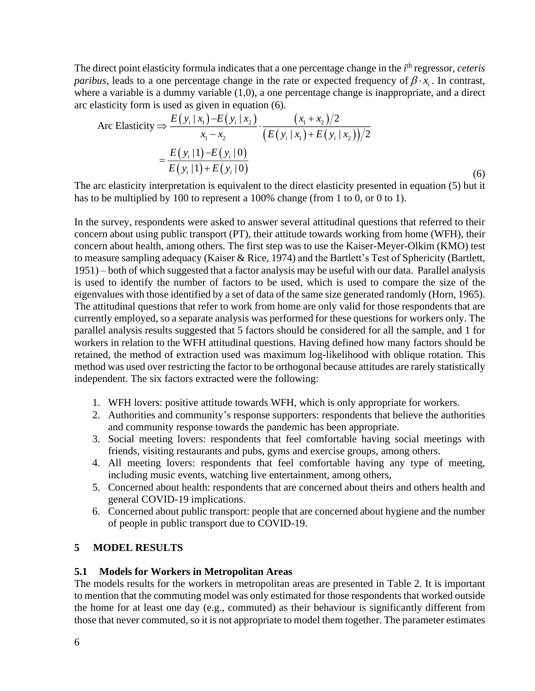The direct point elasticity formula indicates that a one percentage change in the *i*<sup>th</sup> regressor, *ceteris paribus*, leads to a one percentage change in the rate or expected frequency of  $\beta \cdot x_i$ . In contrast, where a variable is a dummy variable (1,0), a one percentage change is inappropriate, and a direct arc elasticity form is used as given in equation (6).

Arc Elasticity 
$$
\Rightarrow
$$
  $\frac{E(y_i | x_1) - E(y_i | x_2)}{x_1 - x_2} \cdot \frac{(x_1 + x_2)/2}{(E(y_i | x_1) + E(y_i | x_2))/2}$   

$$
= \frac{E(y_i | 1) - E(y_i | 0)}{E(y_i | 1) + E(y_i | 0)}
$$
(6)

The arc elasticity interpretation is equivalent to the direct elasticity presented in equation (5) but it has to be multiplied by 100 to represent a 100% change (from 1 to 0, or 0 to 1).

In the survey, respondents were asked to answer several attitudinal questions that referred to their concern about using public transport (PT), their attitude towards working from home (WFH), their concern about health, among others. The first step was to use the Kaiser-Meyer-Olkim (KMO) test to measure sampling adequacy (Kaiser & Rice, 1974) and the Bartlett's Test of Sphericity (Bartlett, 1951) – both of which suggested that a factor analysis may be useful with our data. Parallel analysis is used to identify the number of factors to be used, which is used to compare the size of the eigenvalues with those identified by a set of data of the same size generated randomly (Horn, 1965). The attitudinal questions that refer to work from home are only valid for those respondents that are currently employed, so a separate analysis was performed for these questions for workers only. The parallel analysis results suggested that 5 factors should be considered for all the sample, and 1 for workers in relation to the WFH attitudinal questions. Having defined how many factors should be retained, the method of extraction used was maximum log-likelihood with oblique rotation. This method was used over restricting the factor to be orthogonal because attitudes are rarely statistically independent. The six factors extracted were the following:

- 1. WFH lovers: positive attitude towards WFH, which is only appropriate for workers.
- 2. Authorities and community's response supporters: respondents that believe the authorities and community response towards the pandemic has been appropriate.
- 3. Social meeting lovers: respondents that feel comfortable having social meetings with friends, visiting restaurants and pubs, gyms and exercise groups, among others.
- 4. All meeting lovers: respondents that feel comfortable having any type of meeting, including music events, watching live entertainment, among others,
- 5. Concerned about health: respondents that are concerned about theirs and others health and general COVID-19 implications.
- 6. Concerned about public transport: people that are concerned about hygiene and the number of people in public transport due to COVID-19.

#### **5 MODEL RESULTS**

#### **5.1 Models for Workers in Metropolitan Areas**

The models results for the workers in metropolitan areas are presented in [Table 2.](#page-9-0) It is important to mention that the commuting model was only estimated for those respondents that worked outside the home for at least one day (e.g., commuted) as their behaviour is significantly different from those that never commuted, so it is not appropriate to model them together. The parameter estimates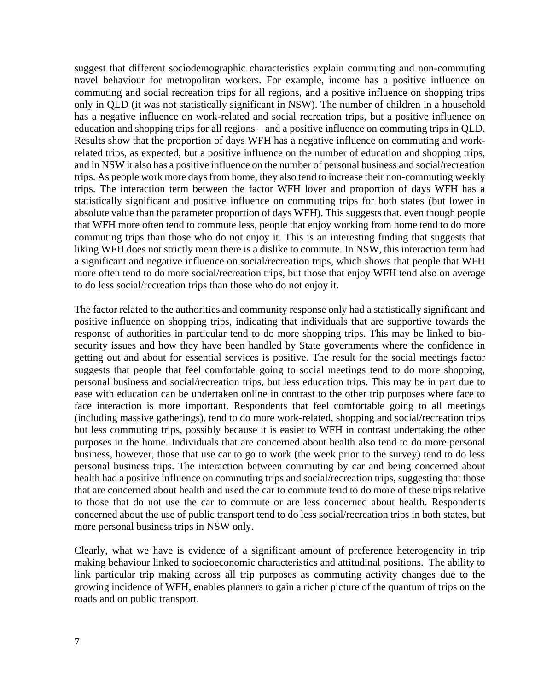suggest that different sociodemographic characteristics explain commuting and non-commuting travel behaviour for metropolitan workers. For example, income has a positive influence on commuting and social recreation trips for all regions, and a positive influence on shopping trips only in QLD (it was not statistically significant in NSW). The number of children in a household has a negative influence on work-related and social recreation trips, but a positive influence on education and shopping trips for all regions – and a positive influence on commuting trips in QLD. Results show that the proportion of days WFH has a negative influence on commuting and workrelated trips, as expected, but a positive influence on the number of education and shopping trips, and in NSW it also has a positive influence on the number of personal business and social/recreation trips. As people work more days from home, they also tend to increase their non-commuting weekly trips. The interaction term between the factor WFH lover and proportion of days WFH has a statistically significant and positive influence on commuting trips for both states (but lower in absolute value than the parameter proportion of days WFH). This suggests that, even though people that WFH more often tend to commute less, people that enjoy working from home tend to do more commuting trips than those who do not enjoy it. This is an interesting finding that suggests that liking WFH does not strictly mean there is a dislike to commute. In NSW, this interaction term had a significant and negative influence on social/recreation trips, which shows that people that WFH more often tend to do more social/recreation trips, but those that enjoy WFH tend also on average to do less social/recreation trips than those who do not enjoy it.

The factor related to the authorities and community response only had a statistically significant and positive influence on shopping trips, indicating that individuals that are supportive towards the response of authorities in particular tend to do more shopping trips. This may be linked to biosecurity issues and how they have been handled by State governments where the confidence in getting out and about for essential services is positive. The result for the social meetings factor suggests that people that feel comfortable going to social meetings tend to do more shopping, personal business and social/recreation trips, but less education trips. This may be in part due to ease with education can be undertaken online in contrast to the other trip purposes where face to face interaction is more important. Respondents that feel comfortable going to all meetings (including massive gatherings), tend to do more work-related, shopping and social/recreation trips but less commuting trips, possibly because it is easier to WFH in contrast undertaking the other purposes in the home. Individuals that are concerned about health also tend to do more personal business, however, those that use car to go to work (the week prior to the survey) tend to do less personal business trips. The interaction between commuting by car and being concerned about health had a positive influence on commuting trips and social/recreation trips, suggesting that those that are concerned about health and used the car to commute tend to do more of these trips relative to those that do not use the car to commute or are less concerned about health. Respondents concerned about the use of public transport tend to do less social/recreation trips in both states, but more personal business trips in NSW only.

Clearly, what we have is evidence of a significant amount of preference heterogeneity in trip making behaviour linked to socioeconomic characteristics and attitudinal positions. The ability to link particular trip making across all trip purposes as commuting activity changes due to the growing incidence of WFH, enables planners to gain a richer picture of the quantum of trips on the roads and on public transport.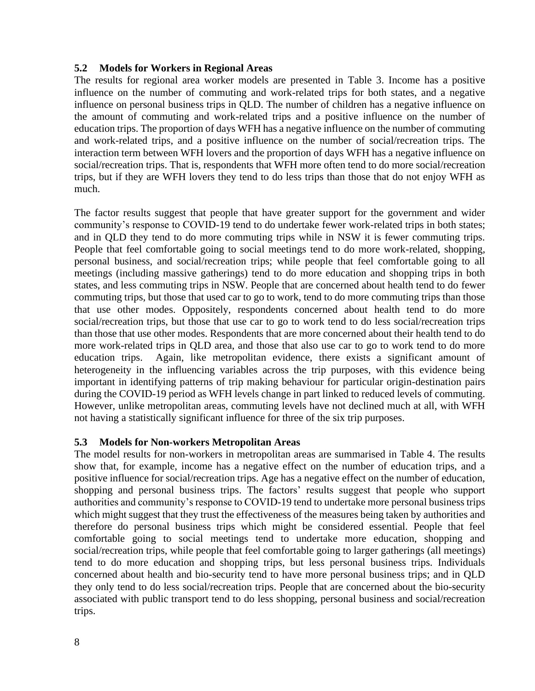#### **5.2 Models for Workers in Regional Areas**

The results for regional area worker models are presented in [Table 3.](#page-10-0) Income has a positive influence on the number of commuting and work-related trips for both states, and a negative influence on personal business trips in QLD. The number of children has a negative influence on the amount of commuting and work-related trips and a positive influence on the number of education trips. The proportion of days WFH has a negative influence on the number of commuting and work-related trips, and a positive influence on the number of social/recreation trips. The interaction term between WFH lovers and the proportion of days WFH has a negative influence on social/recreation trips. That is, respondents that WFH more often tend to do more social/recreation trips, but if they are WFH lovers they tend to do less trips than those that do not enjoy WFH as much.

The factor results suggest that people that have greater support for the government and wider community's response to COVID-19 tend to do undertake fewer work-related trips in both states; and in QLD they tend to do more commuting trips while in NSW it is fewer commuting trips. People that feel comfortable going to social meetings tend to do more work-related, shopping, personal business, and social/recreation trips; while people that feel comfortable going to all meetings (including massive gatherings) tend to do more education and shopping trips in both states, and less commuting trips in NSW. People that are concerned about health tend to do fewer commuting trips, but those that used car to go to work, tend to do more commuting trips than those that use other modes. Oppositely, respondents concerned about health tend to do more social/recreation trips, but those that use car to go to work tend to do less social/recreation trips than those that use other modes. Respondents that are more concerned about their health tend to do more work-related trips in QLD area, and those that also use car to go to work tend to do more education trips. Again, like metropolitan evidence, there exists a significant amount of heterogeneity in the influencing variables across the trip purposes, with this evidence being important in identifying patterns of trip making behaviour for particular origin-destination pairs during the COVID-19 period as WFH levels change in part linked to reduced levels of commuting. However, unlike metropolitan areas, commuting levels have not declined much at all, with WFH not having a statistically significant influence for three of the six trip purposes.

#### **5.3 Models for Non-workers Metropolitan Areas**

The model results for non-workers in metropolitan areas are summarised in [Table 4.](#page-11-0) The results show that, for example, income has a negative effect on the number of education trips, and a positive influence for social/recreation trips. Age has a negative effect on the number of education, shopping and personal business trips. The factors' results suggest that people who support authorities and community's response to COVID-19 tend to undertake more personal business trips which might suggest that they trust the effectiveness of the measures being taken by authorities and therefore do personal business trips which might be considered essential. People that feel comfortable going to social meetings tend to undertake more education, shopping and social/recreation trips, while people that feel comfortable going to larger gatherings (all meetings) tend to do more education and shopping trips, but less personal business trips. Individuals concerned about health and bio-security tend to have more personal business trips; and in QLD they only tend to do less social/recreation trips. People that are concerned about the bio-security associated with public transport tend to do less shopping, personal business and social/recreation trips.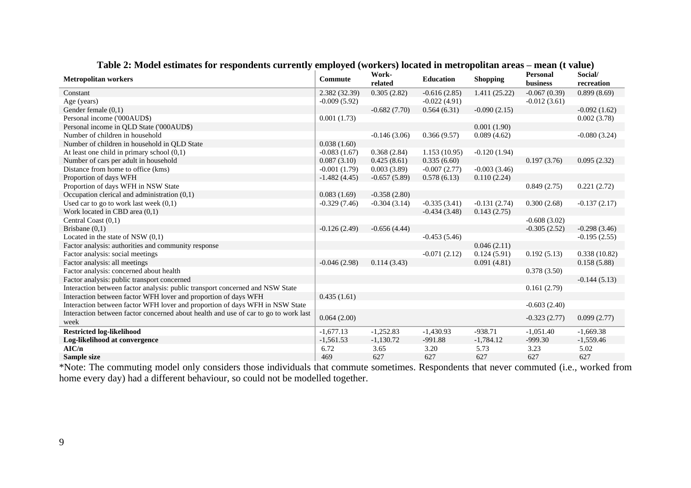| <b>Metropolitan workers</b>                                                         | Commute        | Work-<br>related | <b>Education</b> | <b>Shopping</b> | <b>Personal</b><br>business | Social/<br>recreation |
|-------------------------------------------------------------------------------------|----------------|------------------|------------------|-----------------|-----------------------------|-----------------------|
| Constant                                                                            | 2.382 (32.39)  | 0.305(2.82)      | $-0.616(2.85)$   | 1.411(25.22)    | $-0.067(0.39)$              | 0.899(8.69)           |
| Age (years)                                                                         | $-0.009(5.92)$ |                  | $-0.022(4.91)$   |                 | $-0.012(3.61)$              |                       |
| Gender female $(0,1)$                                                               |                | $-0.682(7.70)$   | 0.564(6.31)      | $-0.090(2.15)$  |                             | $-0.092(1.62)$        |
| Personal income ('000AUD\$)                                                         | 0.001(1.73)    |                  |                  |                 |                             | 0.002(3.78)           |
| Personal income in QLD State ('000AUD\$)                                            |                |                  |                  | 0.001(1.90)     |                             |                       |
| Number of children in household                                                     |                | $-0.146(3.06)$   | 0.366(9.57)      | 0.089(4.62)     |                             | $-0.080(3.24)$        |
| Number of children in household in QLD State                                        | 0.038(1.60)    |                  |                  |                 |                             |                       |
| At least one child in primary school $(0,1)$                                        | $-0.083(1.67)$ | 0.368(2.84)      | 1.153(10.95)     | $-0.120(1.94)$  |                             |                       |
| Number of cars per adult in household                                               | 0.087(3.10)    | 0.425(8.61)      | 0.335(6.60)      |                 | 0.197(3.76)                 | 0.095(2.32)           |
| Distance from home to office (kms)                                                  | $-0.001(1.79)$ | 0.003(3.89)      | $-0.007(2.77)$   | $-0.003(3.46)$  |                             |                       |
| Proportion of days WFH                                                              | $-1.482(4.45)$ | $-0.657(5.89)$   | 0.578(6.13)      | 0.110(2.24)     |                             |                       |
| Proportion of days WFH in NSW State                                                 |                |                  |                  |                 | 0.849(2.75)                 | 0.221(2.72)           |
| Occupation clerical and administration $(0,1)$                                      | 0.083(1.69)    | $-0.358(2.80)$   |                  |                 |                             |                       |
| Used car to go to work last week $(0,1)$                                            | $-0.329(7.46)$ | $-0.304(3.14)$   | $-0.335(3.41)$   | $-0.131(2.74)$  | 0.300(2.68)                 | $-0.137(2.17)$        |
| Work located in CBD area (0,1)                                                      |                |                  | $-0.434(3.48)$   | 0.143(2.75)     |                             |                       |
| Central Coast (0,1)                                                                 |                |                  |                  |                 | $-0.608(3.02)$              |                       |
| Brisbane $(0,1)$                                                                    | $-0.126(2.49)$ | $-0.656(4.44)$   |                  |                 | $-0.305(2.52)$              | $-0.298(3.46)$        |
| Located in the state of NSW $(0,1)$                                                 |                |                  | $-0.453(5.46)$   |                 |                             | $-0.195(2.55)$        |
| Factor analysis: authorities and community response                                 |                |                  |                  | 0.046(2.11)     |                             |                       |
| Factor analysis: social meetings                                                    |                |                  | $-0.071(2.12)$   | 0.124(5.91)     | 0.192(5.13)                 | 0.338(10.82)          |
| Factor analysis: all meetings                                                       | $-0.046(2.98)$ | 0.114(3.43)      |                  | 0.091(4.81)     |                             | 0.158(5.88)           |
| Factor analysis: concerned about health                                             |                |                  |                  |                 | 0.378(3.50)                 |                       |
| Factor analysis: public transport concerned                                         |                |                  |                  |                 |                             | $-0.144(5.13)$        |
| Interaction between factor analysis: public transport concerned and NSW State       |                |                  |                  |                 | 0.161(2.79)                 |                       |
| Interaction between factor WFH lover and proportion of days WFH                     | 0.435(1.61)    |                  |                  |                 |                             |                       |
| Interaction between factor WFH lover and proportion of days WFH in NSW State        |                |                  |                  |                 | $-0.603(2.40)$              |                       |
| Interaction between factor concerned about health and use of car to go to work last | 0.064(2.00)    |                  |                  |                 | $-0.323(2.77)$              | 0.099(2.77)           |
| week                                                                                |                |                  |                  |                 |                             |                       |
| <b>Restricted log-likelihood</b>                                                    | $-1,677.13$    | $-1,252.83$      | $-1,430.93$      | $-938.71$       | $-1,051.40$                 | $-1,669.38$           |
| Log-likelihood at convergence                                                       | $-1,561.53$    | $-1,130.72$      | $-991.88$        | $-1,784.12$     | $-999.30$                   | $-1,559.46$           |
| AIC/n                                                                               | 6.72           | 3.65             | 3.20             | 5.73            | 3.23                        | 5.02                  |
| Sample size                                                                         | 469            | 627              | 627              | 627             | 627                         | 627                   |

### **Table 2: Model estimates for respondents currently employed (workers) located in metropolitan areas – mean (t value)**

<span id="page-9-0"></span>\*Note: The commuting model only considers those individuals that commute sometimes. Respondents that never commuted (i.e., worked from home every day) had a different behaviour, so could not be modelled together.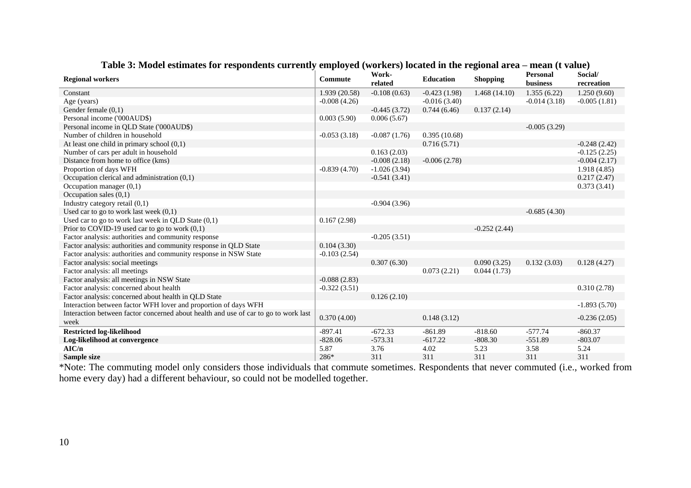| <b>Regional workers</b>                                                             | <b>Commute</b> | Work-<br>related | <b>Education</b> | <b>Shopping</b> | <b>Personal</b><br>business | Social/<br>recreation |
|-------------------------------------------------------------------------------------|----------------|------------------|------------------|-----------------|-----------------------------|-----------------------|
| Constant                                                                            | 1.939 (20.58)  | $-0.108(0.63)$   | $-0.423(1.98)$   | 1.468(14.10)    | 1.355(6.22)                 | 1.250(9.60)           |
| Age (years)                                                                         | $-0.008(4.26)$ |                  | $-0.016(3.40)$   |                 | $-0.014(3.18)$              | $-0.005(1.81)$        |
| Gender female $(0,1)$                                                               |                | $-0.445(3.72)$   | 0.744(6.46)      | 0.137(2.14)     |                             |                       |
| Personal income ('000AUD\$)                                                         | 0.003(5.90)    | 0.006(5.67)      |                  |                 |                             |                       |
| Personal income in QLD State ('000AUD\$)                                            |                |                  |                  |                 | $-0.005(3.29)$              |                       |
| Number of children in household                                                     | $-0.053(3.18)$ | $-0.087(1.76)$   | 0.395(10.68)     |                 |                             |                       |
| At least one child in primary school $(0,1)$                                        |                |                  | 0.716(5.71)      |                 |                             | $-0.248(2.42)$        |
| Number of cars per adult in household                                               |                | 0.163(2.03)      |                  |                 |                             | $-0.125(2.25)$        |
| Distance from home to office (kms)                                                  |                | $-0.008(2.18)$   | $-0.006(2.78)$   |                 |                             | $-0.004(2.17)$        |
| Proportion of days WFH                                                              | $-0.839(4.70)$ | $-1.026(3.94)$   |                  |                 |                             | 1.918(4.85)           |
| Occupation clerical and administration $(0,1)$                                      |                | $-0.541(3.41)$   |                  |                 |                             | 0.217(2.47)           |
| Occupation manager $(0,1)$                                                          |                |                  |                  |                 |                             | 0.373(3.41)           |
| Occupation sales $(0,1)$                                                            |                |                  |                  |                 |                             |                       |
| Industry category retail (0,1)                                                      |                | $-0.904(3.96)$   |                  |                 |                             |                       |
| Used car to go to work last week $(0,1)$                                            |                |                  |                  |                 | $-0.685(4.30)$              |                       |
| Used car to go to work last week in QLD State $(0,1)$                               | 0.167(2.98)    |                  |                  |                 |                             |                       |
| Prior to COVID-19 used car to go to work $(0,1)$                                    |                |                  |                  | $-0.252(2.44)$  |                             |                       |
| Factor analysis: authorities and community response                                 |                | $-0.205(3.51)$   |                  |                 |                             |                       |
| Factor analysis: authorities and community response in QLD State                    | 0.104(3.30)    |                  |                  |                 |                             |                       |
| Factor analysis: authorities and community response in NSW State                    | $-0.103(2.54)$ |                  |                  |                 |                             |                       |
| Factor analysis: social meetings                                                    |                | 0.307(6.30)      |                  | 0.090(3.25)     | 0.132(3.03)                 | 0.128(4.27)           |
| Factor analysis: all meetings                                                       |                |                  | 0.073(2.21)      | 0.044(1.73)     |                             |                       |
| Factor analysis: all meetings in NSW State                                          | $-0.088(2.83)$ |                  |                  |                 |                             |                       |
| Factor analysis: concerned about health                                             | $-0.322(3.51)$ |                  |                  |                 |                             | 0.310(2.78)           |
| Factor analysis: concerned about health in QLD State                                |                | 0.126(2.10)      |                  |                 |                             |                       |
| Interaction between factor WFH lover and proportion of days WFH                     |                |                  |                  |                 |                             | $-1.893(5.70)$        |
| Interaction between factor concerned about health and use of car to go to work last | 0.370(4.00)    |                  | 0.148(3.12)      |                 |                             | $-0.236(2.05)$        |
| week                                                                                |                |                  |                  |                 |                             |                       |
| <b>Restricted log-likelihood</b>                                                    | $-897.41$      | $-672.33$        | $-861.89$        | $-818.60$       | $-577.74$                   | $-860.37$             |
| Log-likelihood at convergence                                                       | $-828.06$      | $-573.31$        | $-617.22$        | $-808.30$       | $-551.89$                   | $-803.07$             |
| AIC/n                                                                               | 5.87           | 3.76             | 4.02             | 5.23            | 3.58                        | 5.24                  |
| Sample size                                                                         | 286*           | 311              | 311              | 311             | 311                         | 311                   |

**Table 3: Model estimates for respondents currently employed (workers) located in the regional area – mean (t value)**

<span id="page-10-0"></span>\*Note: The commuting model only considers those individuals that commute sometimes. Respondents that never commuted (i.e., worked from home every day) had a different behaviour, so could not be modelled together.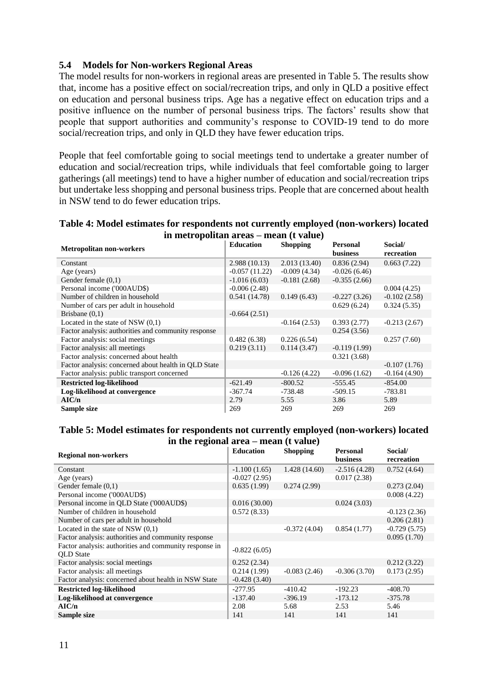### **5.4 Models for Non-workers Regional Areas**

The model results for non-workers in regional areas are presented in [Table 5.](#page-11-1) The results show that, income has a positive effect on social/recreation trips, and only in QLD a positive effect on education and personal business trips. Age has a negative effect on education trips and a positive influence on the number of personal business trips. The factors' results show that people that support authorities and community's response to COVID-19 tend to do more social/recreation trips, and only in QLD they have fewer education trips.

<span id="page-11-0"></span>People that feel comfortable going to social meetings tend to undertake a greater number of education and social/recreation trips, while individuals that feel comfortable going to larger gatherings (all meetings) tend to have a higher number of education and social/recreation trips but undertake less shopping and personal business trips. People that are concerned about health in NSW tend to do fewer education trips.

| Table 4: Model estimates for respondents not currently employed (non-workers) located |  |
|---------------------------------------------------------------------------------------|--|
| in metropolitan areas – mean (t value)                                                |  |

| <b>Metropolitan non-workers</b>                      | <b>Education</b> | <b>Shopping</b> | <b>Personal</b><br><b>business</b> | Social/<br>recreation |
|------------------------------------------------------|------------------|-----------------|------------------------------------|-----------------------|
| Constant                                             | 2.988(10.13)     | 2.013(13.40)    | 0.836(2.94)                        | 0.663(7.22)           |
| Age (years)                                          | $-0.057(11.22)$  | $-0.009(4.34)$  | $-0.026(6.46)$                     |                       |
| Gender female $(0,1)$                                | $-1.016(6.03)$   | $-0.181(2.68)$  | $-0.355(2.66)$                     |                       |
| Personal income ('000AUD\$)                          | $-0.006(2.48)$   |                 |                                    | 0.004(4.25)           |
| Number of children in household                      | 0.541(14.78)     | 0.149(6.43)     | $-0.227(3.26)$                     | $-0.102(2.58)$        |
| Number of cars per adult in household                |                  |                 | 0.629(6.24)                        | 0.324(5.35)           |
| Brisbane $(0,1)$                                     | $-0.664(2.51)$   |                 |                                    |                       |
| Located in the state of NSW $(0,1)$                  |                  | $-0.164(2.53)$  | 0.393(2.77)                        | $-0.213(2.67)$        |
| Factor analysis: authorities and community response  |                  |                 | 0.254(3.56)                        |                       |
| Factor analysis: social meetings                     | 0.482(6.38)      | 0.226(6.54)     |                                    | 0.257(7.60)           |
| Factor analysis: all meetings                        | 0.219(3.11)      | 0.114(3.47)     | $-0.119(1.99)$                     |                       |
| Factor analysis: concerned about health              |                  |                 | 0.321(3.68)                        |                       |
| Factor analysis: concerned about health in QLD State |                  |                 |                                    | $-0.107(1.76)$        |
| Factor analysis: public transport concerned          |                  | $-0.126(4.22)$  | $-0.096(1.62)$                     | $-0.164(4.90)$        |
| <b>Restricted log-likelihood</b>                     | $-621.49$        | $-800.52$       | $-555.45$                          | $-854.00$             |
| Log-likelihood at convergence                        | $-367.74$        | $-738.48$       | $-509.15$                          | $-783.81$             |
| AIC/n                                                | 2.79             | 5.55            | 3.86                               | 5.89                  |
| Sample size                                          | 269              | 269             | 269                                | 269                   |

#### <span id="page-11-1"></span>**Table 5: Model estimates for respondents not currently employed (non-workers) located in the regional area – mean (t value)**

| <b>Regional non-workers</b>                                                | <b>Education</b> | <b>Shopping</b> | <b>Personal</b><br><b>business</b> | Social/<br>recreation |
|----------------------------------------------------------------------------|------------------|-----------------|------------------------------------|-----------------------|
| Constant                                                                   | $-1.100(1.65)$   | 1.428(14.60)    | $-2.516(4.28)$                     | 0.752(4.64)           |
| Age (years)                                                                | $-0.027(2.95)$   |                 | 0.017(2.38)                        |                       |
| Gender female $(0,1)$                                                      | 0.635(1.99)      | 0.274(2.99)     |                                    | 0.273(2.04)           |
| Personal income ('000AUD\$)                                                |                  |                 |                                    | 0.008(4.22)           |
| Personal income in QLD State ('000AUD\$)                                   | 0.016(30.00)     |                 | 0.024(3.03)                        |                       |
| Number of children in household                                            | 0.572(8.33)      |                 |                                    | $-0.123(2.36)$        |
| Number of cars per adult in household                                      |                  |                 |                                    | 0.206(2.81)           |
| Located in the state of NSW $(0,1)$                                        |                  | $-0.372(4.04)$  | 0.854(1.77)                        | $-0.729(5.75)$        |
| Factor analysis: authorities and community response                        |                  |                 |                                    | 0.095(1.70)           |
| Factor analysis: authorities and community response in<br><b>OLD</b> State | $-0.822(6.05)$   |                 |                                    |                       |
| Factor analysis: social meetings                                           | 0.252(2.34)      |                 |                                    | 0.212(3.22)           |
| Factor analysis: all meetings                                              | 0.214(1.99)      | $-0.083(2.46)$  | $-0.306(3.70)$                     | 0.173(2.95)           |
| Factor analysis: concerned about health in NSW State                       | $-0.428(3.40)$   |                 |                                    |                       |
| <b>Restricted log-likelihood</b>                                           | $-277.95$        | $-410.42$       | $-192.23$                          | $-408.70$             |
| Log-likelihood at convergence                                              | $-137.40$        | $-396.19$       | $-173.12$                          | $-375.78$             |
| AIC/n                                                                      | 2.08             | 5.68            | 2.53                               | 5.46                  |
| Sample size                                                                | 141              | 141             | 141                                | 141                   |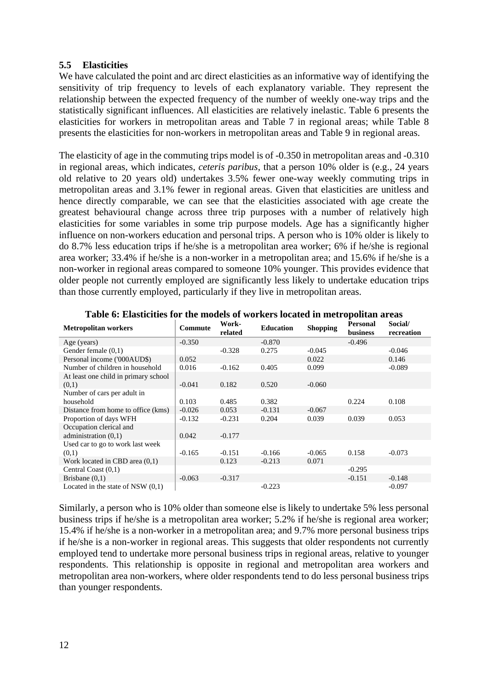### **5.5 Elasticities**

We have calculated the point and arc direct elasticities as an informative way of identifying the sensitivity of trip frequency to levels of each explanatory variable. They represent the relationship between the expected frequency of the number of weekly one-way trips and the statistically significant influences. All elasticities are relatively inelastic. [Table 6](#page-12-0) presents the elasticities for workers in metropolitan areas and [Table 7](#page-13-0) in regional areas; while [Table 8](#page-13-1) presents the elasticities for non-workers in metropolitan areas and [Table 9](#page-13-2) in regional areas.

The elasticity of age in the commuting trips model is of -0.350 in metropolitan areas and -0.310 in regional areas, which indicates, *ceteris paribus*, that a person 10% older is (e.g., 24 years old relative to 20 years old) undertakes 3.5% fewer one-way weekly commuting trips in metropolitan areas and 3.1% fewer in regional areas. Given that elasticities are unitless and hence directly comparable, we can see that the elasticities associated with age create the greatest behavioural change across three trip purposes with a number of relatively high elasticities for some variables in some trip purpose models. Age has a significantly higher influence on non-workers education and personal trips. A person who is 10% older is likely to do 8.7% less education trips if he/she is a metropolitan area worker; 6% if he/she is regional area worker; 33.4% if he/she is a non-worker in a metropolitan area; and 15.6% if he/she is a non-worker in regional areas compared to someone 10% younger. This provides evidence that older people not currently employed are significantly less likely to undertake education trips than those currently employed, particularly if they live in metropolitan areas.

<span id="page-12-0"></span>

| <b>Metropolitan workers</b>          | Commute  | Work-<br>related | <b>Education</b> | <b>Shopping</b> | <b>Personal</b><br><b>business</b> | Social/<br>recreation |
|--------------------------------------|----------|------------------|------------------|-----------------|------------------------------------|-----------------------|
| Age (years)                          | $-0.350$ |                  | $-0.870$         |                 | $-0.496$                           |                       |
| Gender female $(0,1)$                |          | $-0.328$         | 0.275            | $-0.045$        |                                    | $-0.046$              |
| Personal income ('000AUD\$)          | 0.052    |                  |                  | 0.022           |                                    | 0.146                 |
| Number of children in household      | 0.016    | $-0.162$         | 0.405            | 0.099           |                                    | $-0.089$              |
| At least one child in primary school |          |                  |                  |                 |                                    |                       |
| (0,1)                                | $-0.041$ | 0.182            | 0.520            | $-0.060$        |                                    |                       |
| Number of cars per adult in          |          |                  |                  |                 |                                    |                       |
| household                            | 0.103    | 0.485            | 0.382            |                 | 0.224                              | 0.108                 |
| Distance from home to office (kms)   | $-0.026$ | 0.053            | $-0.131$         | $-0.067$        |                                    |                       |
| Proportion of days WFH               | $-0.132$ | $-0.231$         | 0.204            | 0.039           | 0.039                              | 0.053                 |
| Occupation clerical and              |          |                  |                  |                 |                                    |                       |
| administration $(0,1)$               | 0.042    | $-0.177$         |                  |                 |                                    |                       |
| Used car to go to work last week     |          |                  |                  |                 |                                    |                       |
| (0,1)                                | $-0.165$ | $-0.151$         | $-0.166$         | $-0.065$        | 0.158                              | $-0.073$              |
| Work located in CBD area $(0,1)$     |          | 0.123            | $-0.213$         | 0.071           |                                    |                       |
| Central Coast $(0,1)$                |          |                  |                  |                 | $-0.295$                           |                       |
| Brisbane $(0,1)$                     | $-0.063$ | $-0.317$         |                  |                 | $-0.151$                           | $-0.148$              |
| Located in the state of NSW $(0,1)$  |          |                  | $-0.223$         |                 |                                    | $-0.097$              |

**Table 6: Elasticities for the models of workers located in metropolitan areas**

Similarly, a person who is 10% older than someone else is likely to undertake 5% less personal business trips if he/she is a metropolitan area worker; 5.2% if he/she is regional area worker; 15.4% if he/she is a non-worker in a metropolitan area; and 9.7% more personal business trips if he/she is a non-worker in regional areas. This suggests that older respondents not currently employed tend to undertake more personal business trips in regional areas, relative to younger respondents. This relationship is opposite in regional and metropolitan area workers and metropolitan area non-workers, where older respondents tend to do less personal business trips than younger respondents.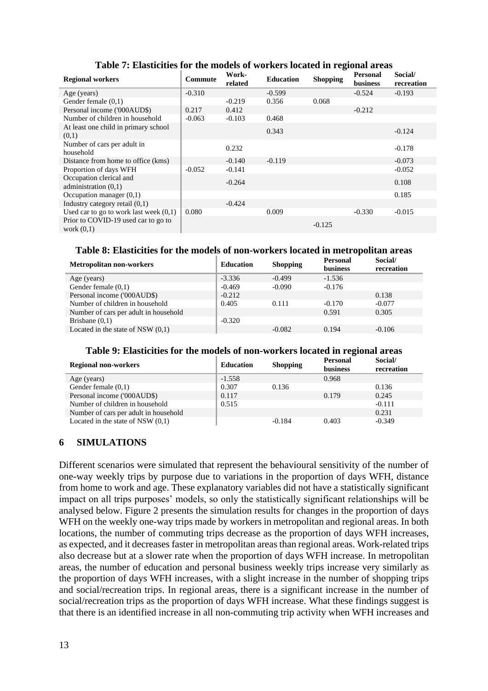<span id="page-13-0"></span>

| Table 77 Engolement for the models of workers located in regional areas |          |                  |                  |                 |                                    |                       |
|-------------------------------------------------------------------------|----------|------------------|------------------|-----------------|------------------------------------|-----------------------|
| <b>Regional workers</b>                                                 | Commute  | Work-<br>related | <b>Education</b> | <b>Shopping</b> | <b>Personal</b><br><b>business</b> | Social/<br>recreation |
| Age (years)                                                             | $-0.310$ |                  | $-0.599$         |                 | $-0.524$                           | $-0.193$              |
| Gender female $(0,1)$                                                   |          | $-0.219$         | 0.356            | 0.068           |                                    |                       |
| Personal income ('000AUD\$)                                             | 0.217    | 0.412            |                  |                 | $-0.212$                           |                       |
| Number of children in household                                         | $-0.063$ | $-0.103$         | 0.468            |                 |                                    |                       |
| At least one child in primary school<br>(0,1)                           |          |                  | 0.343            |                 |                                    | $-0.124$              |
| Number of cars per adult in<br>household                                |          | 0.232            |                  |                 |                                    | $-0.178$              |
| Distance from home to office (kms)                                      |          | $-0.140$         | $-0.119$         |                 |                                    | $-0.073$              |
| Proportion of days WFH                                                  | $-0.052$ | $-0.141$         |                  |                 |                                    | $-0.052$              |
| Occupation clerical and<br>administration $(0,1)$                       |          | $-0.264$         |                  |                 |                                    | 0.108                 |
| Occupation manager $(0,1)$                                              |          |                  |                  |                 |                                    | 0.185                 |
| Industry category retail $(0,1)$                                        |          | $-0.424$         |                  |                 |                                    |                       |
| Used car to go to work last week $(0,1)$                                | 0.080    |                  | 0.009            |                 | $-0.330$                           | $-0.015$              |
| Prior to COVID-19 used car to go to<br>work $(0,1)$                     |          |                  |                  | $-0.125$        |                                    |                       |

## **Table 7: Elasticities for the models of workers located in regional areas**

## **Table 8: Elasticities for the models of non-workers located in metropolitan areas**

<span id="page-13-1"></span>

| <b>Metropolitan non-workers</b>       | <b>Education</b> | <b>Shopping</b> | <b>Personal</b><br><b>business</b> | Social/<br>recreation |
|---------------------------------------|------------------|-----------------|------------------------------------|-----------------------|
| Age (years)                           | $-3.336$         | $-0.499$        | $-1.536$                           |                       |
| Gender female $(0,1)$                 | $-0.469$         | $-0.090$        | $-0.176$                           |                       |
| Personal income ('000AUD\$)           | $-0.212$         |                 |                                    | 0.138                 |
| Number of children in household       | 0.405            | 0.111           | $-0.170$                           | $-0.077$              |
| Number of cars per adult in household |                  |                 | 0.591                              | 0.305                 |
| Brisbane $(0,1)$                      | $-0.320$         |                 |                                    |                       |
| Located in the state of NSW $(0,1)$   |                  | $-0.082$        | 0.194                              | $-0.106$              |

#### **Table 9: Elasticities for the models of non-workers located in regional areas**

<span id="page-13-2"></span>

| <b>Regional non-workers</b>           | <b>Education</b> | <b>Shopping</b> | ້<br><b>Personal</b><br><b>business</b> | Social/<br>recreation |
|---------------------------------------|------------------|-----------------|-----------------------------------------|-----------------------|
| Age (years)                           | $-1.558$         |                 | 0.968                                   |                       |
| Gender female $(0,1)$                 | 0.307            | 0.136           |                                         | 0.136                 |
| Personal income ('000AUD\$)           | 0.117            |                 | 0.179                                   | 0.245                 |
| Number of children in household       | 0.515            |                 |                                         | $-0.111$              |
| Number of cars per adult in household |                  |                 |                                         | 0.231                 |
| Located in the state of NSW $(0,1)$   |                  | $-0.184$        | 0.403                                   | $-0.349$              |

## **6 SIMULATIONS**

Different scenarios were simulated that represent the behavioural sensitivity of the number of one-way weekly trips by purpose due to variations in the proportion of days WFH, distance from home to work and age. These explanatory variables did not have a statistically significant impact on all trips purposes' models, so only the statistically significant relationships will be analysed below. [Figure 2](#page-14-0) presents the simulation results for changes in the proportion of days WFH on the weekly one-way trips made by workers in metropolitan and regional areas. In both locations, the number of commuting trips decrease as the proportion of days WFH increases, as expected, and it decreases faster in metropolitan areas than regional areas. Work-related trips also decrease but at a slower rate when the proportion of days WFH increase. In metropolitan areas, the number of education and personal business weekly trips increase very similarly as the proportion of days WFH increases, with a slight increase in the number of shopping trips and social/recreation trips. In regional areas, there is a significant increase in the number of social/recreation trips as the proportion of days WFH increase. What these findings suggest is that there is an identified increase in all non-commuting trip activity when WFH increases and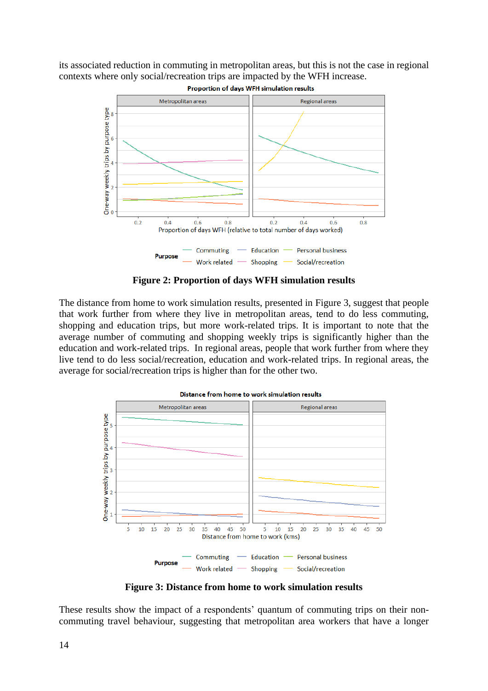its associated reduction in commuting in metropolitan areas, but this is not the case in regional contexts where only social/recreation trips are impacted by the WFH increase.



**Figure 2: Proportion of days WFH simulation results**

<span id="page-14-0"></span>The distance from home to work simulation results, presented in [Figure 3,](#page-14-1) suggest that people that work further from where they live in metropolitan areas, tend to do less commuting, shopping and education trips, but more work-related trips. It is important to note that the average number of commuting and shopping weekly trips is significantly higher than the education and work-related trips. In regional areas, people that work further from where they live tend to do less social/recreation, education and work-related trips. In regional areas, the average for social/recreation trips is higher than for the other two.



**Figure 3: Distance from home to work simulation results**

<span id="page-14-1"></span>These results show the impact of a respondents' quantum of commuting trips on their noncommuting travel behaviour, suggesting that metropolitan area workers that have a longer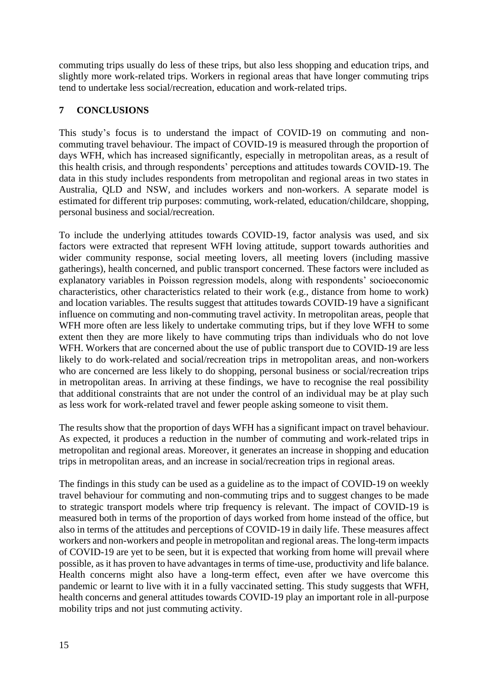commuting trips usually do less of these trips, but also less shopping and education trips, and slightly more work-related trips. Workers in regional areas that have longer commuting trips tend to undertake less social/recreation, education and work-related trips.

# **7 CONCLUSIONS**

This study's focus is to understand the impact of COVID-19 on commuting and noncommuting travel behaviour. The impact of COVID-19 is measured through the proportion of days WFH, which has increased significantly, especially in metropolitan areas, as a result of this health crisis, and through respondents' perceptions and attitudes towards COVID-19. The data in this study includes respondents from metropolitan and regional areas in two states in Australia, QLD and NSW, and includes workers and non-workers. A separate model is estimated for different trip purposes: commuting, work-related, education/childcare, shopping, personal business and social/recreation.

To include the underlying attitudes towards COVID-19, factor analysis was used, and six factors were extracted that represent WFH loving attitude, support towards authorities and wider community response, social meeting lovers, all meeting lovers (including massive gatherings), health concerned, and public transport concerned. These factors were included as explanatory variables in Poisson regression models, along with respondents' socioeconomic characteristics, other characteristics related to their work (e.g., distance from home to work) and location variables. The results suggest that attitudes towards COVID-19 have a significant influence on commuting and non-commuting travel activity. In metropolitan areas, people that WFH more often are less likely to undertake commuting trips, but if they love WFH to some extent then they are more likely to have commuting trips than individuals who do not love WFH. Workers that are concerned about the use of public transport due to COVID-19 are less likely to do work-related and social/recreation trips in metropolitan areas, and non-workers who are concerned are less likely to do shopping, personal business or social/recreation trips in metropolitan areas. In arriving at these findings, we have to recognise the real possibility that additional constraints that are not under the control of an individual may be at play such as less work for work-related travel and fewer people asking someone to visit them.

The results show that the proportion of days WFH has a significant impact on travel behaviour. As expected, it produces a reduction in the number of commuting and work-related trips in metropolitan and regional areas. Moreover, it generates an increase in shopping and education trips in metropolitan areas, and an increase in social/recreation trips in regional areas.

The findings in this study can be used as a guideline as to the impact of COVID-19 on weekly travel behaviour for commuting and non-commuting trips and to suggest changes to be made to strategic transport models where trip frequency is relevant. The impact of COVID-19 is measured both in terms of the proportion of days worked from home instead of the office, but also in terms of the attitudes and perceptions of COVID-19 in daily life. These measures affect workers and non-workers and people in metropolitan and regional areas. The long-term impacts of COVID-19 are yet to be seen, but it is expected that working from home will prevail where possible, as it has proven to have advantages in terms of time-use, productivity and life balance. Health concerns might also have a long-term effect, even after we have overcome this pandemic or learnt to live with it in a fully vaccinated setting. This study suggests that WFH, health concerns and general attitudes towards COVID-19 play an important role in all-purpose mobility trips and not just commuting activity.